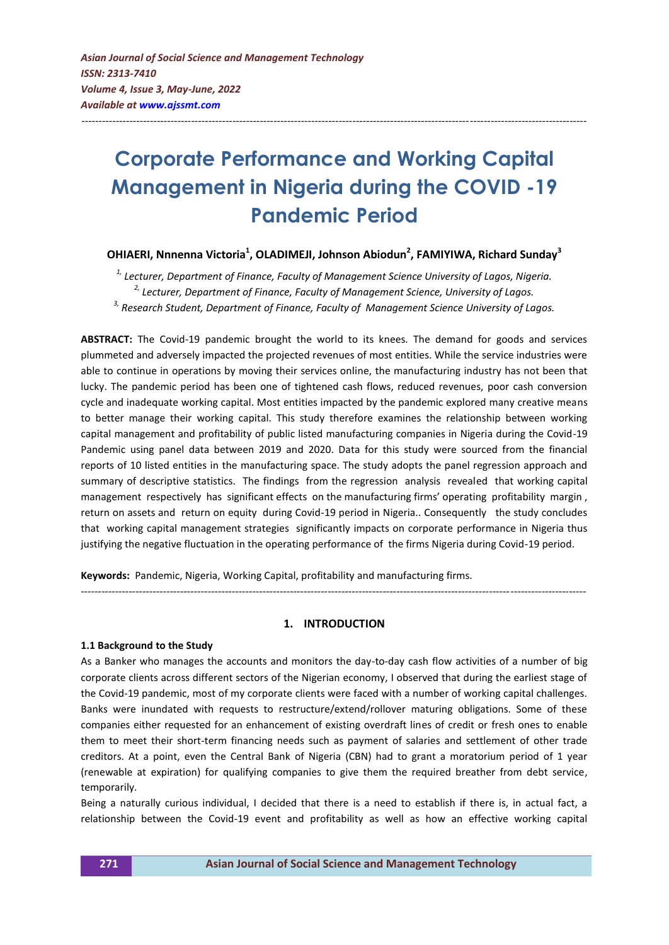# **Corporate Performance and Working Capital Management in Nigeria during the COVID -19 Pandemic Period**

---------------------------------------------------------------------------------------------------------------------------------------------------

## **OHIAERI, Nnnenna Victoria<sup>1</sup> , OLADIMEJI, Johnson Abiodun<sup>2</sup> , FAMIYIWA, Richard Sunday<sup>3</sup>**

*1, Lecturer, Department of Finance, Faculty of Management Science University of Lagos, Nigeria. 2, Lecturer, Department of Finance, Faculty of Management Science, University of Lagos. 3, Research Student, Department of Finance, Faculty of Management Science University of Lagos.*

**ABSTRACT:** The Covid-19 pandemic brought the world to its knees. The demand for goods and services plummeted and adversely impacted the projected revenues of most entities. While the service industries were able to continue in operations by moving their services online, the manufacturing industry has not been that lucky. The pandemic period has been one of tightened cash flows, reduced revenues, poor cash conversion cycle and inadequate working capital. Most entities impacted by the pandemic explored many creative means to better manage their working capital. This study therefore examines the relationship between working capital management and profitability of public listed manufacturing companies in Nigeria during the Covid-19 Pandemic using panel data between 2019 and 2020. Data for this study were sourced from the financial reports of 10 listed entities in the manufacturing space. The study adopts the panel regression approach and summary of descriptive statistics. The findings from the regression analysis revealed that working capital management respectively has significant effects on the manufacturing firms' operating profitability margin , return on assets and return on equity during Covid-19 period in Nigeria.. Consequently the study concludes that working capital management strategies significantly impacts on corporate performance in Nigeria thus justifying the negative fluctuation in the operating performance of the firms Nigeria during Covid-19 period.

**Keywords:** Pandemic, Nigeria, Working Capital, profitability and manufacturing firms.

## **1. INTRODUCTION**

---------------------------------------------------------------------------------------------------------------------------------------------------

#### **1.1 Background to the Study**

As a Banker who manages the accounts and monitors the day-to-day cash flow activities of a number of big corporate clients across different sectors of the Nigerian economy, I observed that during the earliest stage of the Covid-19 pandemic, most of my corporate clients were faced with a number of working capital challenges. Banks were inundated with requests to restructure/extend/rollover maturing obligations. Some of these companies either requested for an enhancement of existing overdraft lines of credit or fresh ones to enable them to meet their short-term financing needs such as payment of salaries and settlement of other trade creditors. At a point, even the Central Bank of Nigeria (CBN) had to grant a moratorium period of 1 year (renewable at expiration) for qualifying companies to give them the required breather from debt service, temporarily.

Being a naturally curious individual, I decided that there is a need to establish if there is, in actual fact, a relationship between the Covid-19 event and profitability as well as how an effective working capital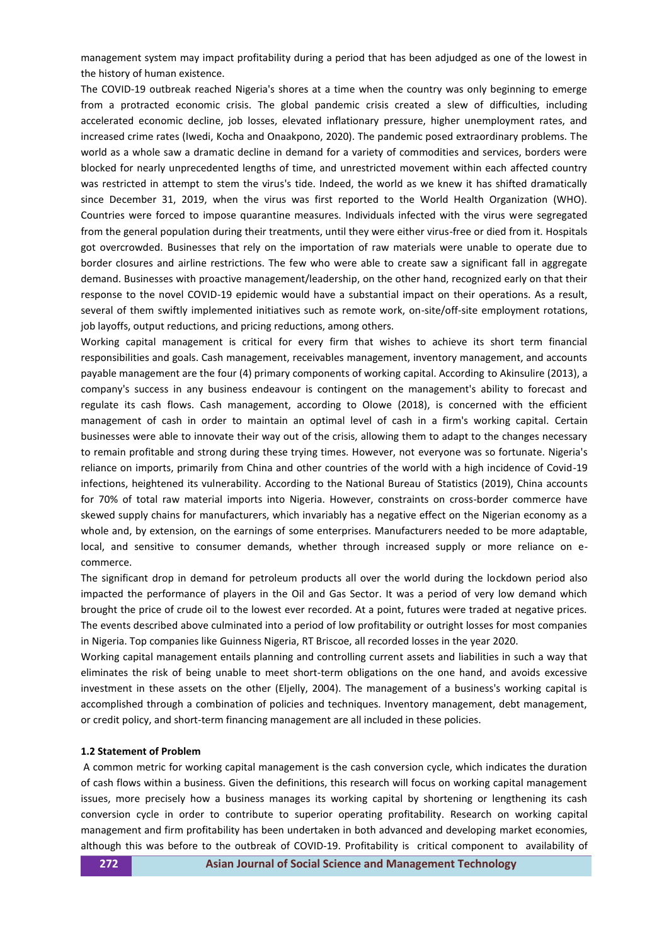management system may impact profitability during a period that has been adjudged as one of the lowest in the history of human existence.

The COVID-19 outbreak reached Nigeria's shores at a time when the country was only beginning to emerge from a protracted economic crisis. The global pandemic crisis created a slew of difficulties, including accelerated economic decline, job losses, elevated inflationary pressure, higher unemployment rates, and increased crime rates (Iwedi, Kocha and Onaakpono, 2020). The pandemic posed extraordinary problems. The world as a whole saw a dramatic decline in demand for a variety of commodities and services, borders were blocked for nearly unprecedented lengths of time, and unrestricted movement within each affected country was restricted in attempt to stem the virus's tide. Indeed, the world as we knew it has shifted dramatically since December 31, 2019, when the virus was first reported to the World Health Organization (WHO). Countries were forced to impose quarantine measures. Individuals infected with the virus were segregated from the general population during their treatments, until they were either virus-free or died from it. Hospitals got overcrowded. Businesses that rely on the importation of raw materials were unable to operate due to border closures and airline restrictions. The few who were able to create saw a significant fall in aggregate demand. Businesses with proactive management/leadership, on the other hand, recognized early on that their response to the novel COVID-19 epidemic would have a substantial impact on their operations. As a result, several of them swiftly implemented initiatives such as remote work, on-site/off-site employment rotations, job layoffs, output reductions, and pricing reductions, among others.

Working capital management is critical for every firm that wishes to achieve its short term financial responsibilities and goals. Cash management, receivables management, inventory management, and accounts payable management are the four (4) primary components of working capital. According to Akinsulire (2013), a company's success in any business endeavour is contingent on the management's ability to forecast and regulate its cash flows. Cash management, according to Olowe (2018), is concerned with the efficient management of cash in order to maintain an optimal level of cash in a firm's working capital. Certain businesses were able to innovate their way out of the crisis, allowing them to adapt to the changes necessary to remain profitable and strong during these trying times. However, not everyone was so fortunate. Nigeria's reliance on imports, primarily from China and other countries of the world with a high incidence of Covid-19 infections, heightened its vulnerability. According to the National Bureau of Statistics (2019), China accounts for 70% of total raw material imports into Nigeria. However, constraints on cross-border commerce have skewed supply chains for manufacturers, which invariably has a negative effect on the Nigerian economy as a whole and, by extension, on the earnings of some enterprises. Manufacturers needed to be more adaptable, local, and sensitive to consumer demands, whether through increased supply or more reliance on ecommerce.

The significant drop in demand for petroleum products all over the world during the lockdown period also impacted the performance of players in the Oil and Gas Sector. It was a period of very low demand which brought the price of crude oil to the lowest ever recorded. At a point, futures were traded at negative prices. The events described above culminated into a period of low profitability or outright losses for most companies in Nigeria. Top companies like Guinness Nigeria, RT Briscoe, all recorded losses in the year 2020.

Working capital management entails planning and controlling current assets and liabilities in such a way that eliminates the risk of being unable to meet short-term obligations on the one hand, and avoids excessive investment in these assets on the other (Eljelly, 2004). The management of a business's working capital is accomplished through a combination of policies and techniques. Inventory management, debt management, or credit policy, and short-term financing management are all included in these policies.

#### **1.2 Statement of Problem**

A common metric for working capital management is the cash conversion cycle, which indicates the duration of cash flows within a business. Given the definitions, this research will focus on working capital management issues, more precisely how a business manages its working capital by shortening or lengthening its cash conversion cycle in order to contribute to superior operating profitability. Research on working capital management and firm profitability has been undertaken in both advanced and developing market economies, although this was before to the outbreak of COVID-19. Profitability is critical component to availability of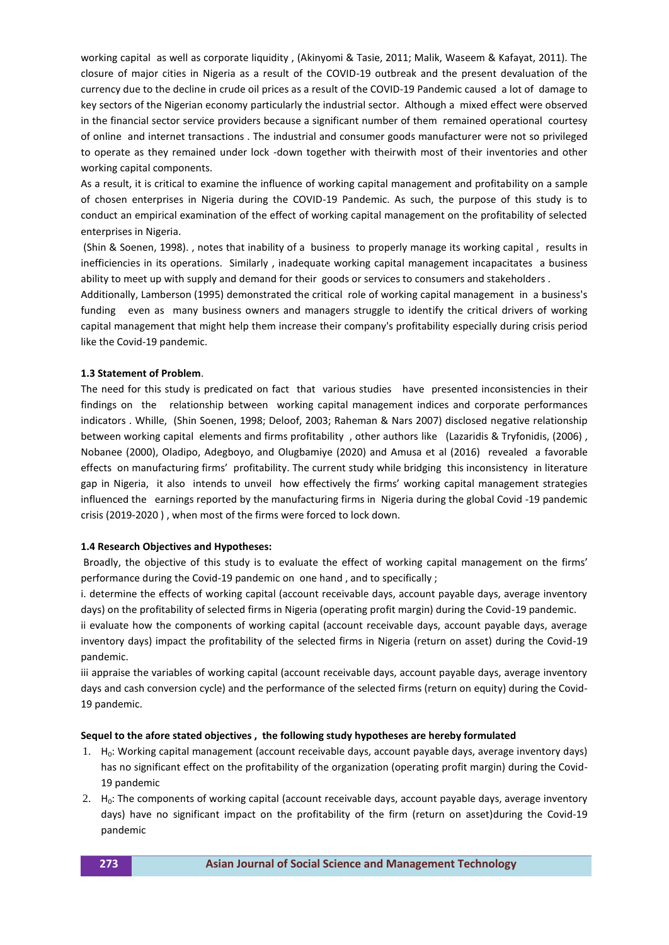working capital as well as corporate liquidity , (Akinyomi & Tasie, 2011; Malik, Waseem & Kafayat, 2011). The closure of major cities in Nigeria as a result of the COVID-19 outbreak and the present devaluation of the currency due to the decline in crude oil prices as a result of the COVID-19 Pandemic caused a lot of damage to key sectors of the Nigerian economy particularly the industrial sector. Although a mixed effect were observed in the financial sector service providers because a significant number of them remained operational courtesy of online and internet transactions . The industrial and consumer goods manufacturer were not so privileged to operate as they remained under lock -down together with theirwith most of their inventories and other working capital components.

As a result, it is critical to examine the influence of working capital management and profitability on a sample of chosen enterprises in Nigeria during the COVID-19 Pandemic. As such, the purpose of this study is to conduct an empirical examination of the effect of working capital management on the profitability of selected enterprises in Nigeria.

(Shin & Soenen, 1998). , notes that inability of a business to properly manage its working capital , results in inefficiencies in its operations. Similarly , inadequate working capital management incapacitates a business ability to meet up with supply and demand for their goods or services to consumers and stakeholders .

Additionally, Lamberson (1995) demonstrated the critical role of working capital management in a business's funding even as many business owners and managers struggle to identify the critical drivers of working capital management that might help them increase their company's profitability especially during crisis period like the Covid-19 pandemic.

#### **1.3 Statement of Problem**.

The need for this study is predicated on fact that various studies have presented inconsistencies in their findings on the relationship between working capital management indices and corporate performances indicators . Whille, (Shin Soenen, 1998; Deloof, 2003; Raheman & Nars 2007) disclosed negative relationship between working capital elements and firms profitability , other authors like (Lazaridis & Tryfonidis, (2006) , Nobanee (2000), Oladipo, Adegboyo, and Olugbamiye (2020) and Amusa et al (2016) revealed a favorable effects on manufacturing firms' profitability. The current study while bridging this inconsistency in literature gap in Nigeria, it also intends to unveil how effectively the firms' working capital management strategies influenced the earnings reported by the manufacturing firms in Nigeria during the global Covid -19 pandemic crisis (2019-2020 ) , when most of the firms were forced to lock down.

#### **1.4 Research Objectives and Hypotheses:**

Broadly, the objective of this study is to evaluate the effect of working capital management on the firms' performance during the Covid-19 pandemic on one hand , and to specifically ;

i. determine the effects of working capital (account receivable days, account payable days, average inventory days) on the profitability of selected firms in Nigeria (operating profit margin) during the Covid-19 pandemic.

ii evaluate how the components of working capital (account receivable days, account payable days, average inventory days) impact the profitability of the selected firms in Nigeria (return on asset) during the Covid-19 pandemic.

iii appraise the variables of working capital (account receivable days, account payable days, average inventory days and cash conversion cycle) and the performance of the selected firms (return on equity) during the Covid-19 pandemic.

## **Sequel to the afore stated objectives , the following study hypotheses are hereby formulated**

- 1.  $H_0$ : Working capital management (account receivable days, account payable days, average inventory days) has no significant effect on the profitability of the organization (operating profit margin) during the Covid-19 pandemic
- 2.  $H_0$ : The components of working capital (account receivable days, account payable days, average inventory days) have no significant impact on the profitability of the firm (return on asset)during the Covid-19 pandemic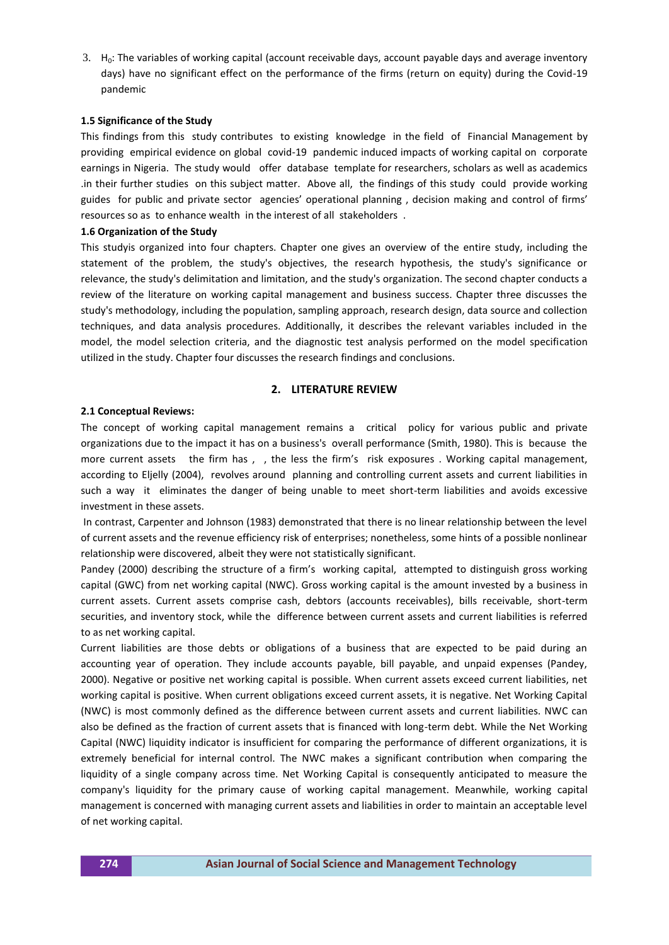3.  $H_0$ : The variables of working capital (account receivable days, account payable days and average inventory days) have no significant effect on the performance of the firms (return on equity) during the Covid-19 pandemic

#### **1.5 Significance of the Study**

This findings from this study contributes to existing knowledge in the field of Financial Management by providing empirical evidence on global covid-19 pandemic induced impacts of working capital on corporate earnings in Nigeria. The study would offer database template for researchers, scholars as well as academics .in their further studies on this subject matter. Above all, the findings of this study could provide working guides for public and private sector agencies' operational planning , decision making and control of firms' resources so as to enhance wealth in the interest of all stakeholders .

### **1.6 Organization of the Study**

This studyis organized into four chapters. Chapter one gives an overview of the entire study, including the statement of the problem, the study's objectives, the research hypothesis, the study's significance or relevance, the study's delimitation and limitation, and the study's organization. The second chapter conducts a review of the literature on working capital management and business success. Chapter three discusses the study's methodology, including the population, sampling approach, research design, data source and collection techniques, and data analysis procedures. Additionally, it describes the relevant variables included in the model, the model selection criteria, and the diagnostic test analysis performed on the model specification utilized in the study. Chapter four discusses the research findings and conclusions.

## **2. LITERATURE REVIEW**

## **2.1 Conceptual Reviews:**

The concept of working capital management remains a critical policy for various public and private organizations due to the impact it has on a business's overall performance (Smith, 1980). This is because the more current assets the firm has , , the less the firm's risk exposures . Working capital management, according to Eljelly (2004), revolves around planning and controlling current assets and current liabilities in such a way it eliminates the danger of being unable to meet short-term liabilities and avoids excessive investment in these assets.

In contrast, Carpenter and Johnson (1983) demonstrated that there is no linear relationship between the level of current assets and the revenue efficiency risk of enterprises; nonetheless, some hints of a possible nonlinear relationship were discovered, albeit they were not statistically significant.

Pandey (2000) describing the structure of a firm's working capital, attempted to distinguish gross working capital (GWC) from net working capital (NWC). Gross working capital is the amount invested by a business in current assets. Current assets comprise cash, debtors (accounts receivables), bills receivable, short-term securities, and inventory stock, while the difference between current assets and current liabilities is referred to as net working capital.

Current liabilities are those debts or obligations of a business that are expected to be paid during an accounting year of operation. They include accounts payable, bill payable, and unpaid expenses (Pandey, 2000). Negative or positive net working capital is possible. When current assets exceed current liabilities, net working capital is positive. When current obligations exceed current assets, it is negative. Net Working Capital (NWC) is most commonly defined as the difference between current assets and current liabilities. NWC can also be defined as the fraction of current assets that is financed with long-term debt. While the Net Working Capital (NWC) liquidity indicator is insufficient for comparing the performance of different organizations, it is extremely beneficial for internal control. The NWC makes a significant contribution when comparing the liquidity of a single company across time. Net Working Capital is consequently anticipated to measure the company's liquidity for the primary cause of working capital management. Meanwhile, working capital management is concerned with managing current assets and liabilities in order to maintain an acceptable level of net working capital.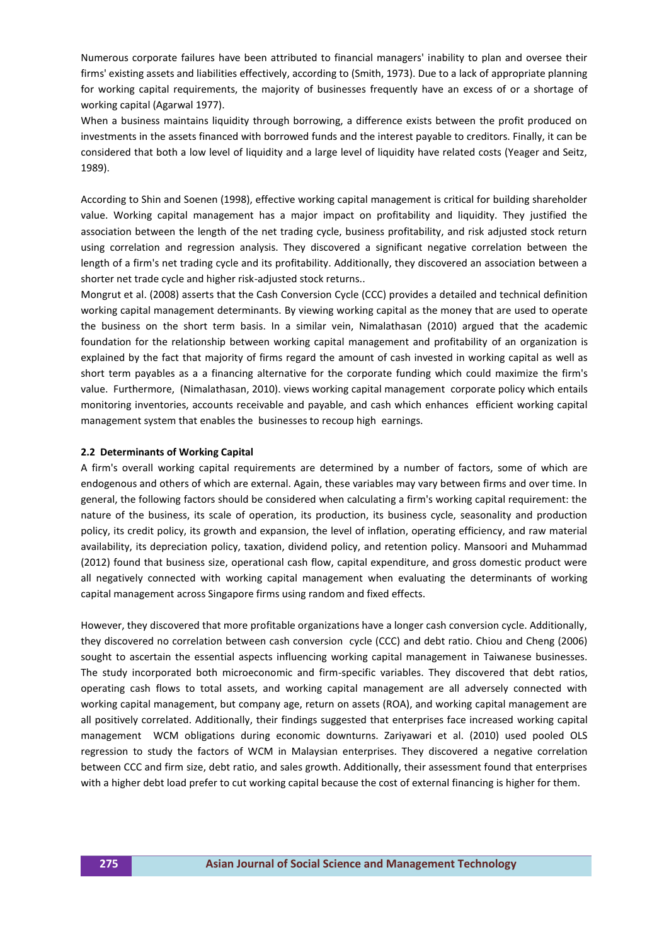Numerous corporate failures have been attributed to financial managers' inability to plan and oversee their firms' existing assets and liabilities effectively, according to (Smith, 1973). Due to a lack of appropriate planning for working capital requirements, the majority of businesses frequently have an excess of or a shortage of working capital (Agarwal 1977).

When a business maintains liquidity through borrowing, a difference exists between the profit produced on investments in the assets financed with borrowed funds and the interest payable to creditors. Finally, it can be considered that both a low level of liquidity and a large level of liquidity have related costs (Yeager and Seitz, 1989).

According to Shin and Soenen (1998), effective working capital management is critical for building shareholder value. Working capital management has a major impact on profitability and liquidity. They justified the association between the length of the net trading cycle, business profitability, and risk adjusted stock return using correlation and regression analysis. They discovered a significant negative correlation between the length of a firm's net trading cycle and its profitability. Additionally, they discovered an association between a shorter net trade cycle and higher risk-adjusted stock returns..

Mongrut et al. (2008) asserts that the Cash Conversion Cycle (CCC) provides a detailed and technical definition working capital management determinants. By viewing working capital as the money that are used to operate the business on the short term basis. In a similar vein, Nimalathasan (2010) argued that the academic foundation for the relationship between working capital management and profitability of an organization is explained by the fact that majority of firms regard the amount of cash invested in working capital as well as short term payables as a a financing alternative for the corporate funding which could maximize the firm's value. Furthermore, (Nimalathasan, 2010). views working capital management corporate policy which entails monitoring inventories, accounts receivable and payable, and cash which enhances efficient working capital management system that enables the businesses to recoup high earnings.

#### **2.2 Determinants of Working Capital**

A firm's overall working capital requirements are determined by a number of factors, some of which are endogenous and others of which are external. Again, these variables may vary between firms and over time. In general, the following factors should be considered when calculating a firm's working capital requirement: the nature of the business, its scale of operation, its production, its business cycle, seasonality and production policy, its credit policy, its growth and expansion, the level of inflation, operating efficiency, and raw material availability, its depreciation policy, taxation, dividend policy, and retention policy. Mansoori and Muhammad (2012) found that business size, operational cash flow, capital expenditure, and gross domestic product were all negatively connected with working capital management when evaluating the determinants of working capital management across Singapore firms using random and fixed effects.

However, they discovered that more profitable organizations have a longer cash conversion cycle. Additionally, they discovered no correlation between cash conversion cycle (CCC) and debt ratio. Chiou and Cheng (2006) sought to ascertain the essential aspects influencing working capital management in Taiwanese businesses. The study incorporated both microeconomic and firm-specific variables. They discovered that debt ratios, operating cash flows to total assets, and working capital management are all adversely connected with working capital management, but company age, return on assets (ROA), and working capital management are all positively correlated. Additionally, their findings suggested that enterprises face increased working capital management WCM obligations during economic downturns. Zariyawari et al. (2010) used pooled OLS regression to study the factors of WCM in Malaysian enterprises. They discovered a negative correlation between CCC and firm size, debt ratio, and sales growth. Additionally, their assessment found that enterprises with a higher debt load prefer to cut working capital because the cost of external financing is higher for them.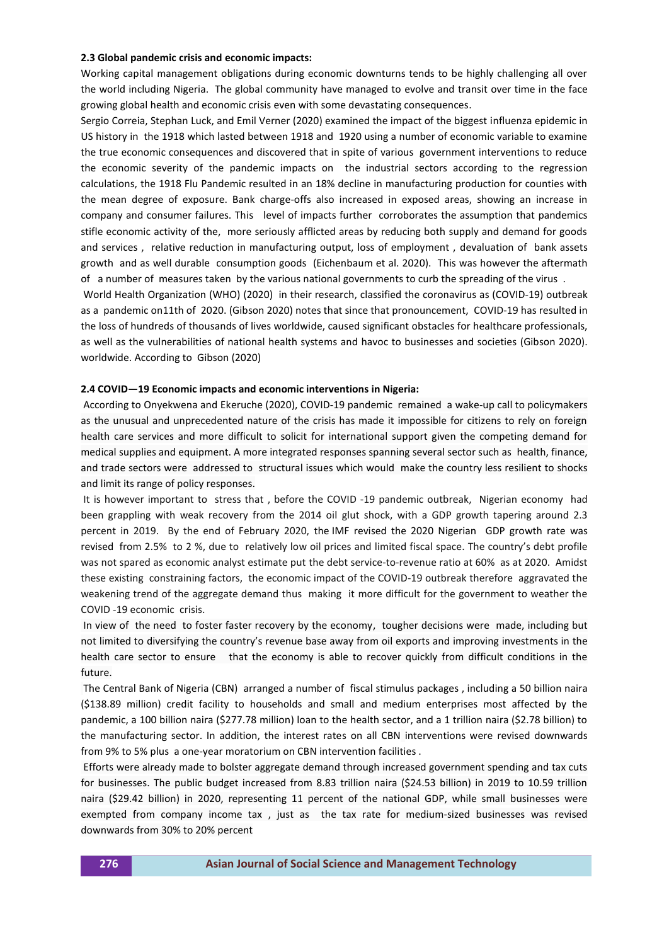#### **2.3 Global pandemic crisis and economic impacts:**

Working capital management obligations during economic downturns tends to be highly challenging all over the world including Nigeria. The global community have managed to evolve and transit over time in the face growing global health and economic crisis even with some devastating consequences.

Sergio Correia, Stephan Luck, and Emil Verner (2020) examined the impact of the biggest influenza epidemic in US history in the 1918 which lasted between 1918 and 1920 using a number of economic variable to examine the true economic consequences and discovered that in spite of various government interventions to reduce the economic severity of the pandemic impacts on the industrial sectors according to the regression calculations, the 1918 Flu Pandemic resulted in an 18% decline in manufacturing production for counties with the mean degree of exposure. Bank charge-offs also increased in exposed areas, showing an increase in company and consumer failures. This level of impacts further corroborates the assumption that pandemics stifle economic activity of the, more seriously afflicted areas by reducing both supply and demand for goods and services , relative reduction in manufacturing output, loss of employment , devaluation of bank assets growth and as well durable consumption goods (Eichenbaum et al. 2020). This was however the aftermath of a number of measures taken by the various national governments to curb the spreading of the virus .

World Health Organization (WHO) (2020) in their research, classified the coronavirus as (COVID-19) outbreak as a pandemic on11th of 2020. (Gibson 2020) notes that since that pronouncement, COVID-19 has resulted in the loss of hundreds of thousands of lives worldwide, caused significant obstacles for healthcare professionals, as well as the vulnerabilities of national health systems and havoc to businesses and societies (Gibson 2020). worldwide. According to Gibson (2020)

#### **2.4 COVID—19 Economic impacts and economic interventions in Nigeria:**

According to Onyekwena and Ekeruche (2020), COVID-19 pandemic remained a wake-up call to policymakers as the unusual and unprecedented nature of the crisis has made it impossible for citizens to rely on foreign health care services and more difficult to solicit for international support given the competing demand for medical supplies and equipment. A more integrated responses spanning several sector such as health, finance, and trade sectors were addressed to structural issues which would make the country less resilient to shocks and limit its range of policy responses.

It is however important to stress that , before the COVID -19 pandemic outbreak, Nigerian economy had been grappling with weak recovery from the 2014 oil glut shock, with a GDP growth tapering around 2.3 percent in 2019. By the end of February 2020, the [IMF revised the 2020 Nigerian GDP growth rate](https://www.imf.org/en/News/Articles/2020/02/17/pr2053-IMF-Staff-Concludes-Article-IV-Consultation-to-Nigeria) was revised from 2.5% to 2 %, due to relatively low oil prices and limited fiscal space. The country's debt profile was not spared as economic analyst estimate put the debt service-to-revenue ratio at 60% as at 2020. Amidst these existing constraining factors, the economic impact of the COVID-19 outbreak therefore aggravated the weakening trend of the aggregate demand thus making it more difficult for the government to weather the COVID -19 economic crisis.

In view of the need to foster faster recovery by the economy, tougher decisions were made, including but not limited to diversifying the country's revenue base away from oil exports and improving investments in the health care sector to ensure that the economy is able to recover quickly from difficult conditions in the future.

The Central Bank of Nigeria (CBN) arranged a number of fiscal stimulus packages , including a 50 billion naira (\$138.89 million) credit facility to households and small and medium enterprises most affected by the pandemic, a 100 billion naira (\$277.78 million) loan to the health sector, and a 1 trillion naira (\$2.78 billion) to the manufacturing sector. In addition, the interest rates on all CBN interventions were revised downwards from 9% to 5% plus a one-year moratorium on CBN intervention facilities .

Efforts were already made to bolster aggregate demand through increased government spending and tax cuts for businesses. The public budget increased from 8.83 trillion naira (\$24.53 billion) in 2019 to 10.59 trillion naira (\$29.42 billion) in 2020, representing 11 percent of the national GDP, while small businesses were exempted from company income tax , just as the tax rate for medium-sized businesses was revised downwards from 30% to 20% percent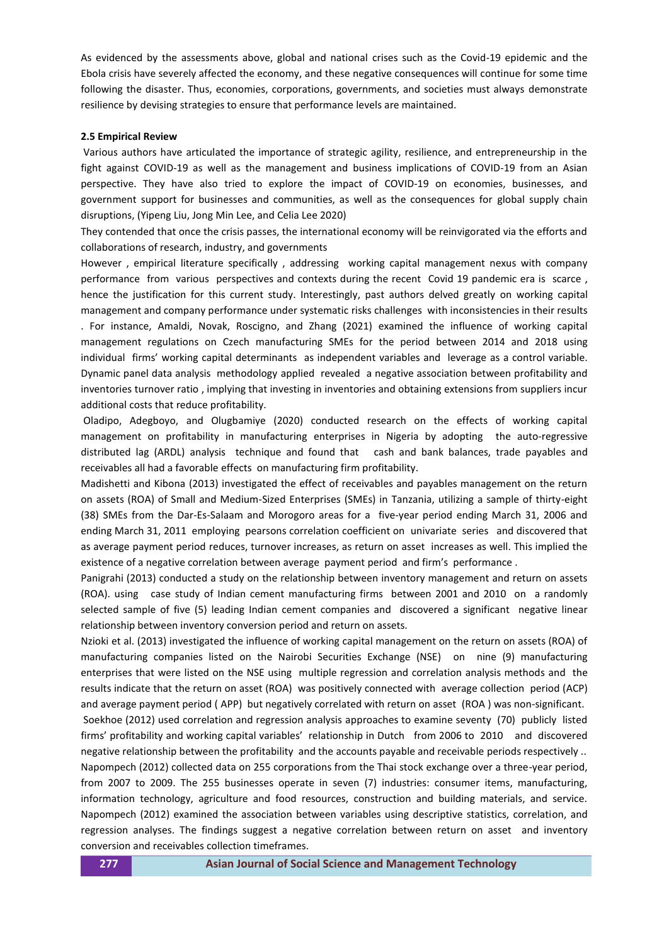As evidenced by the assessments above, global and national crises such as the Covid-19 epidemic and the Ebola crisis have severely affected the economy, and these negative consequences will continue for some time following the disaster. Thus, economies, corporations, governments, and societies must always demonstrate resilience by devising strategies to ensure that performance levels are maintained.

#### **2.5 Empirical Review**

Various authors have articulated the importance of strategic agility, resilience, and entrepreneurship in the fight against COVID-19 as well as the management and business implications of COVID-19 from an Asian perspective. They have also tried to explore the impact of COVID-19 on economies, businesses, and government support for businesses and communities, as well as the consequences for global supply chain disruptions, (Yipeng Liu, Jong Min Lee, and Celia Lee 2020)

They contended that once the crisis passes, the international economy will be reinvigorated via the efforts and collaborations of research, industry, and governments

However , empirical literature specifically , addressing working capital management nexus with company performance from various perspectives and contexts during the recent Covid 19 pandemic era is scarce , hence the justification for this current study. Interestingly, past authors delved greatly on working capital management and company performance under systematic risks challenges with inconsistencies in their results . For instance, Amaldi, Novak, Roscigno, and Zhang (2021) examined the influence of working capital management regulations on Czech manufacturing SMEs for the period between 2014 and 2018 using individual firms' working capital determinants as independent variables and leverage as a control variable. Dynamic panel data analysis methodology applied revealed a negative association between profitability and inventories turnover ratio , implying that investing in inventories and obtaining extensions from suppliers incur additional costs that reduce profitability.

Oladipo, Adegboyo, and Olugbamiye (2020) conducted research on the effects of working capital management on profitability in manufacturing enterprises in Nigeria by adopting the auto-regressive distributed lag (ARDL) analysis technique and found that cash and bank balances, trade payables and receivables all had a favorable effects on manufacturing firm profitability.

Madishetti and Kibona (2013) investigated the effect of receivables and payables management on the return on assets (ROA) of Small and Medium-Sized Enterprises (SMEs) in Tanzania, utilizing a sample of thirty-eight (38) SMEs from the Dar-Es-Salaam and Morogoro areas for a five-year period ending March 31, 2006 and ending March 31, 2011 employing pearsons correlation coefficient on univariate series and discovered that as average payment period reduces, turnover increases, as return on asset increases as well. This implied the existence of a negative correlation between average payment period and firm's performance .

Panigrahi (2013) conducted a study on the relationship between inventory management and return on assets (ROA). using case study of Indian cement manufacturing firms between 2001 and 2010 on a randomly selected sample of five (5) leading Indian cement companies and discovered a significant negative linear relationship between inventory conversion period and return on assets.

Nzioki et al. (2013) investigated the influence of working capital management on the return on assets (ROA) of manufacturing companies listed on the Nairobi Securities Exchange (NSE) on nine (9) manufacturing enterprises that were listed on the NSE using multiple regression and correlation analysis methods and the results indicate that the return on asset (ROA) was positively connected with average collection period (ACP) and average payment period ( APP) but negatively correlated with return on asset (ROA ) was non-significant.

Soekhoe (2012) used correlation and regression analysis approaches to examine seventy (70) publicly listed firms' profitability and working capital variables' relationship in Dutch from 2006 to 2010 and discovered negative relationship between the profitability and the accounts payable and receivable periods respectively .. Napompech (2012) collected data on 255 corporations from the Thai stock exchange over a three-year period, from 2007 to 2009. The 255 businesses operate in seven (7) industries: consumer items, manufacturing, information technology, agriculture and food resources, construction and building materials, and service. Napompech (2012) examined the association between variables using descriptive statistics, correlation, and regression analyses. The findings suggest a negative correlation between return on asset and inventory conversion and receivables collection timeframes.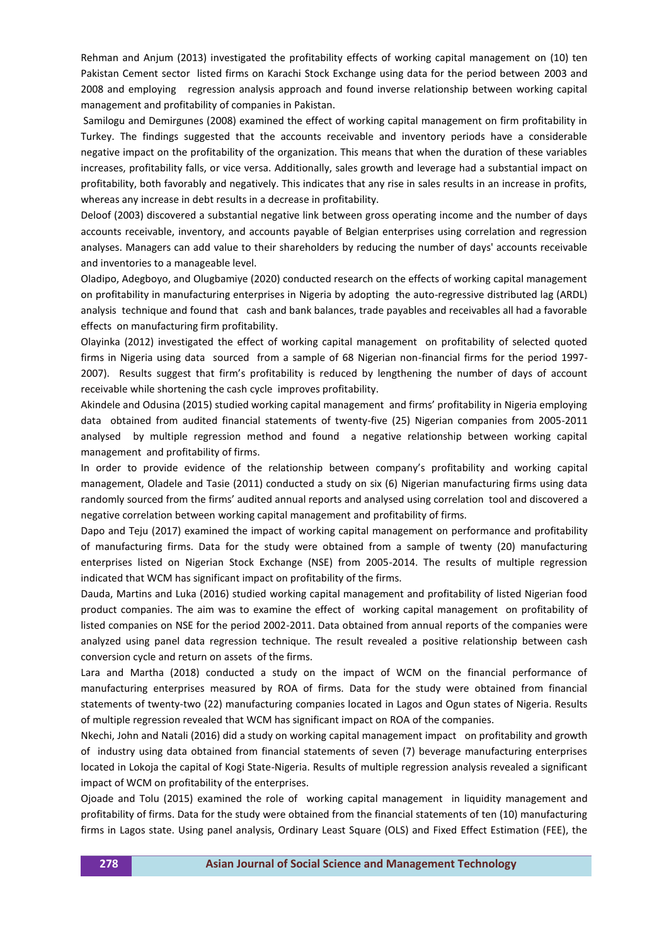Rehman and Anjum (2013) investigated the profitability effects of working capital management on (10) ten Pakistan Cement sector listed firms on Karachi Stock Exchange using data for the period between 2003 and 2008 and employing regression analysis approach and found inverse relationship between working capital management and profitability of companies in Pakistan.

Samilogu and Demirgunes (2008) examined the effect of working capital management on firm profitability in Turkey. The findings suggested that the accounts receivable and inventory periods have a considerable negative impact on the profitability of the organization. This means that when the duration of these variables increases, profitability falls, or vice versa. Additionally, sales growth and leverage had a substantial impact on profitability, both favorably and negatively. This indicates that any rise in sales results in an increase in profits, whereas any increase in debt results in a decrease in profitability.

Deloof (2003) discovered a substantial negative link between gross operating income and the number of days accounts receivable, inventory, and accounts payable of Belgian enterprises using correlation and regression analyses. Managers can add value to their shareholders by reducing the number of days' accounts receivable and inventories to a manageable level.

Oladipo, Adegboyo, and Olugbamiye (2020) conducted research on the effects of working capital management on profitability in manufacturing enterprises in Nigeria by adopting the auto-regressive distributed lag (ARDL) analysis technique and found that cash and bank balances, trade payables and receivables all had a favorable effects on manufacturing firm profitability.

Olayinka (2012) investigated the effect of working capital management on profitability of selected quoted firms in Nigeria using data sourced from a sample of 68 Nigerian non-financial firms for the period 1997- 2007). Results suggest that firm's profitability is reduced by lengthening the number of days of account receivable while shortening the cash cycle improves profitability.

Akindele and Odusina (2015) studied working capital management and firms' profitability in Nigeria employing data obtained from audited financial statements of twenty-five (25) Nigerian companies from 2005-2011 analysed by multiple regression method and found a negative relationship between working capital management and profitability of firms.

In order to provide evidence of the relationship between company's profitability and working capital management, Oladele and Tasie (2011) conducted a study on six (6) Nigerian manufacturing firms using data randomly sourced from the firms' audited annual reports and analysed using correlation tool and discovered a negative correlation between working capital management and profitability of firms.

Dapo and Teju (2017) examined the impact of working capital management on performance and profitability of manufacturing firms. Data for the study were obtained from a sample of twenty (20) manufacturing enterprises listed on Nigerian Stock Exchange (NSE) from 2005-2014. The results of multiple regression indicated that WCM has significant impact on profitability of the firms.

Dauda, Martins and Luka (2016) studied working capital management and profitability of listed Nigerian food product companies. The aim was to examine the effect of working capital management on profitability of listed companies on NSE for the period 2002-2011. Data obtained from annual reports of the companies were analyzed using panel data regression technique. The result revealed a positive relationship between cash conversion cycle and return on assets of the firms.

Lara and Martha (2018) conducted a study on the impact of WCM on the financial performance of manufacturing enterprises measured by ROA of firms. Data for the study were obtained from financial statements of twenty-two (22) manufacturing companies located in Lagos and Ogun states of Nigeria. Results of multiple regression revealed that WCM has significant impact on ROA of the companies.

Nkechi, John and Natali (2016) did a study on working capital management impact on profitability and growth of industry using data obtained from financial statements of seven (7) beverage manufacturing enterprises located in Lokoja the capital of Kogi State-Nigeria. Results of multiple regression analysis revealed a significant impact of WCM on profitability of the enterprises.

Ojoade and Tolu (2015) examined the role of working capital management in liquidity management and profitability of firms. Data for the study were obtained from the financial statements of ten (10) manufacturing firms in Lagos state. Using panel analysis, Ordinary Least Square (OLS) and Fixed Effect Estimation (FEE), the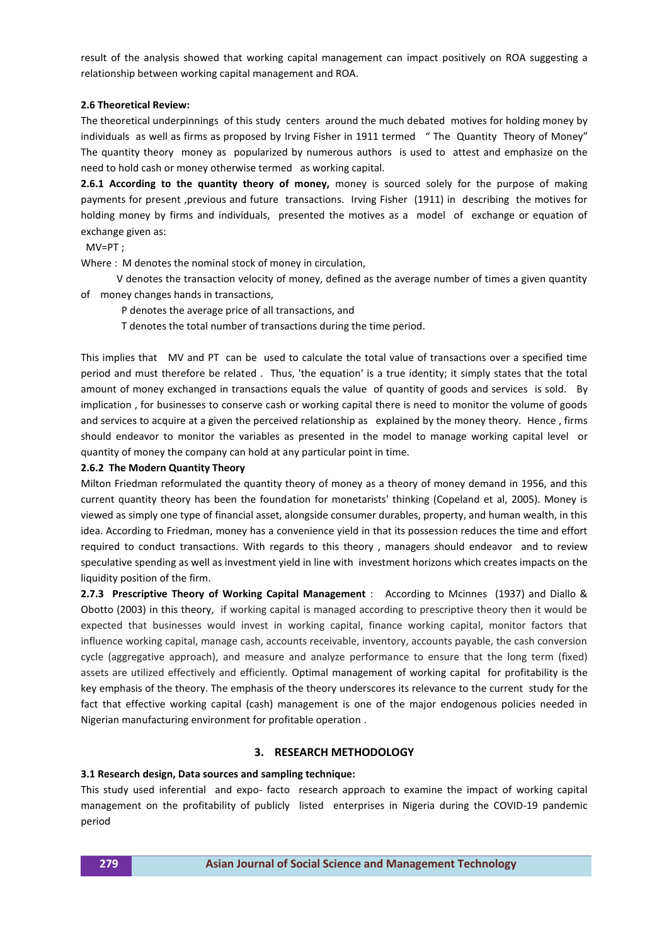result of the analysis showed that working capital management can impact positively on ROA suggesting a relationship between working capital management and ROA.

## **2.6 Theoretical Review:**

The theoretical underpinnings of this study centers around the much debated motives for holding money by individuals as well as firms as proposed by Irving Fisher in 1911 termed " The Quantity Theory of Money" The quantity theory money as popularized by numerous authors is used to attest and emphasize on the need to hold cash or money otherwise termed as working capital.

**2.6.1 According to the quantity theory of money,** money is sourced solely for the purpose of making payments for present ,previous and future transactions. Irving Fisher (1911) in describing the motives for holding money by firms and individuals, presented the motives as a model of exchange or equation of exchange given as:

MV=PT ;

Where : M denotes the nominal stock of money in circulation,

 V denotes the transaction velocity of money, defined as the average number of times a given quantity of money changes hands in transactions,

P denotes the average price of all transactions, and

T denotes the total number of transactions during the time period.

This implies that MV and PT can be used to calculate the total value of transactions over a specified time period and must therefore be related . Thus, 'the equation' is a true identity; it simply states that the total amount of money exchanged in transactions equals the value of quantity of goods and services is sold. By implication , for businesses to conserve cash or working capital there is need to monitor the volume of goods and services to acquire at a given the perceived relationship as explained by the money theory. Hence , firms should endeavor to monitor the variables as presented in the model to manage working capital level or quantity of money the company can hold at any particular point in time.

### **2.6.2 The Modern Quantity Theory**

Milton Friedman reformulated the quantity theory of money as a theory of money demand in 1956, and this current quantity theory has been the foundation for monetarists' thinking (Copeland et al, 2005). Money is viewed as simply one type of financial asset, alongside consumer durables, property, and human wealth, in this idea. According to Friedman, money has a convenience yield in that its possession reduces the time and effort required to conduct transactions. With regards to this theory , managers should endeavor and to review speculative spending as well as investment yield in line with investment horizons which creates impacts on the liquidity position of the firm.

**2.7.3 Prescriptive Theory of Working Capital Management** : According to Mcinnes (1937) and Diallo & Obotto (2003) in this theory, if working capital is managed according to prescriptive theory then it would be expected that businesses would invest in working capital, finance working capital, monitor factors that influence working capital, manage cash, accounts receivable, inventory, accounts payable, the cash conversion cycle (aggregative approach), and measure and analyze performance to ensure that the long term (fixed) assets are utilized effectively and efficiently. Optimal management of working capital for profitability is the key emphasis of the theory. The emphasis of the theory underscores its relevance to the current study for the fact that effective working capital (cash) management is one of the major endogenous policies needed in Nigerian manufacturing environment for profitable operation .

#### **3. RESEARCH METHODOLOGY**

#### **3.1 Research design, Data sources and sampling technique:**

This study used inferential and expo- facto research approach to examine the impact of working capital management on the profitability of publicly listed enterprises in Nigeria during the COVID-19 pandemic period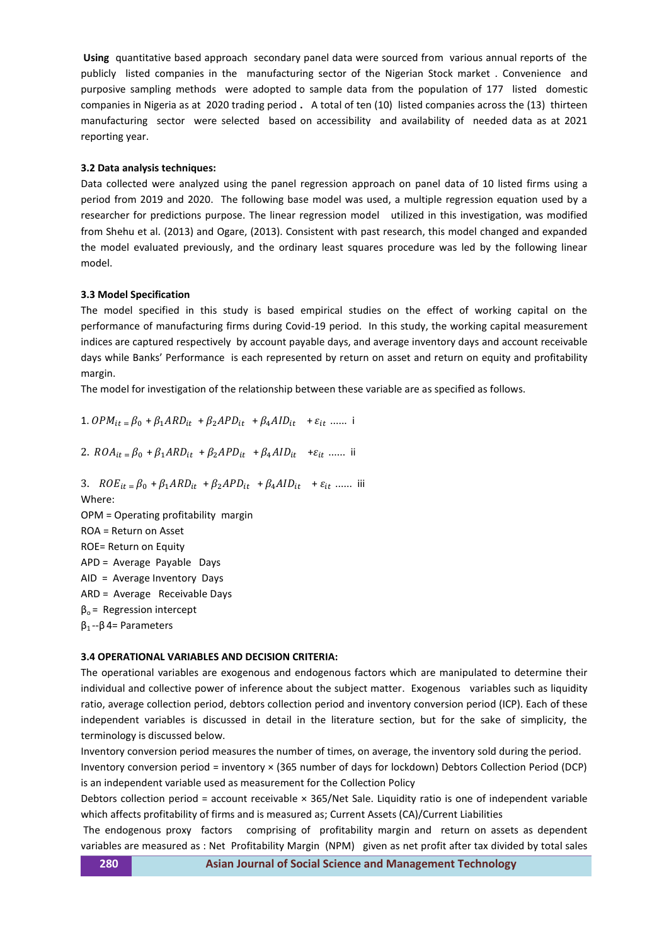**Using** quantitative based approach secondary panel data were sourced from various annual reports of the publicly listed companies in the manufacturing sector of the Nigerian Stock market . Convenience and purposive sampling methods were adopted to sample data from the population of 177 listed domestic companies in Nigeria as at 2020 trading period **.** A total of ten (10) listed companies across the (13) thirteen manufacturing sector were selected based on accessibility and availability of needed data as at 2021 reporting year.

## **3.2 Data analysis techniques:**

Data collected were analyzed using the panel regression approach on panel data of 10 listed firms using a period from 2019 and 2020. The following base model was used, a multiple regression equation used by a researcher for predictions purpose. The linear regression model utilized in this investigation, was modified from Shehu et al. (2013) and Ogare, (2013). Consistent with past research, this model changed and expanded the model evaluated previously, and the ordinary least squares procedure was led by the following linear model.

## **3.3 Model Specification**

The model specified in this study is based empirical studies on the effect of working capital on the performance of manufacturing firms during Covid-19 period. In this study, the working capital measurement indices are captured respectively by account payable days, and average inventory days and account receivable days while Banks' Performance is each represented by return on asset and return on equity and profitability margin.

The model for investigation of the relationship between these variable are as specified as follows.

1.  $OPM_{it} = \beta_0 + \beta_1 ARD_{it} + \beta_2 APD_{it} + \beta_4 AID_{it} + \varepsilon_{it}$  ...... i

2.  $ROA_{it} = \beta_0 + \beta_1 ARD_{it} + \beta_2 APD_{it} + \beta_4 AID_{it} + \varepsilon_{it}$  ...... ii

3.  $ROE_{it} = \beta_0 + \beta_1 ARD_{it} + \beta_2 APD_{it} + \beta_4 AID_{it} + \varepsilon_{it}$  ...... iii Where: OPM = Operating profitability margin ROA = Return on Asset ROE= Return on Equity APD = Average Payable Days AID = Average Inventory Days ARD = Average Receivable Days  $β<sub>o</sub>$  = Regression intercept β<sup>1</sup> --β 4= Parameters

## **3.4 OPERATIONAL VARIABLES AND DECISION CRITERIA:**

The operational variables are exogenous and endogenous factors which are manipulated to determine their individual and collective power of inference about the subject matter. Exogenous variables such as liquidity ratio, average collection period, debtors collection period and inventory conversion period (ICP). Each of these independent variables is discussed in detail in the literature section, but for the sake of simplicity, the terminology is discussed below.

Inventory conversion period measures the number of times, on average, the inventory sold during the period.

Inventory conversion period = inventory × (365 number of days for lockdown) Debtors Collection Period (DCP) is an independent variable used as measurement for the Collection Policy

Debtors collection period = account receivable × 365/Net Sale. Liquidity ratio is one of independent variable which affects profitability of firms and is measured as; Current Assets (CA)/Current Liabilities

The endogenous proxy factors comprising of profitability margin and return on assets as dependent variables are measured as : Net Profitability Margin (NPM) given as net profit after tax divided by total sales

**280 [Asian Journal of Social Science and Management Technology](http://www.ajssmt.com/)**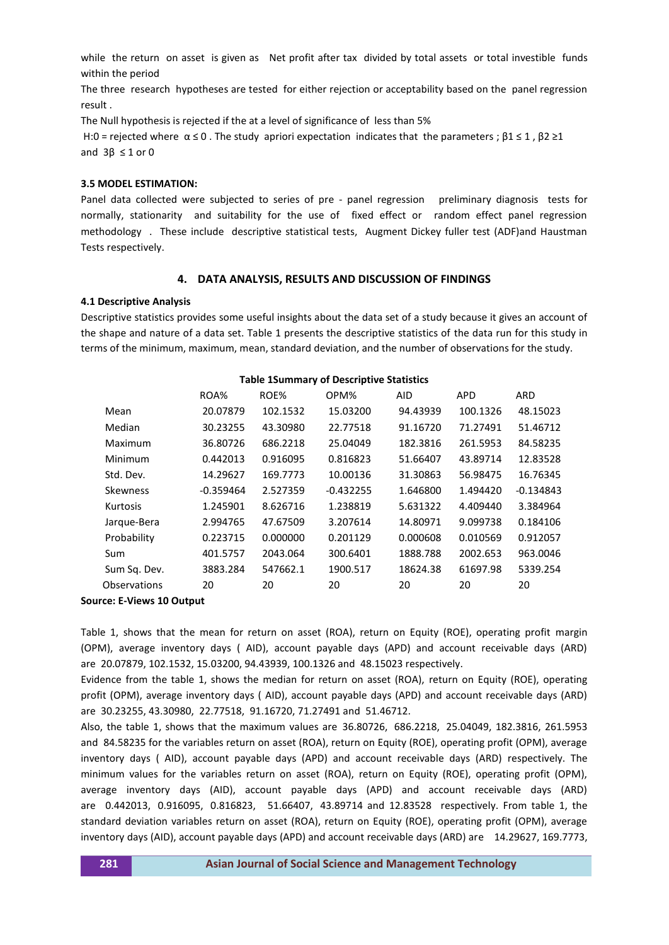while the return on asset is given as Net profit after tax divided by total assets or total investible funds within the period

The three research hypotheses are tested for either rejection or acceptability based on the panel regression result .

The Null hypothesis is rejected if the at a level of significance of less than 5%

H:0 = rejected where  $\alpha \le 0$ . The study apriori expectation indicates that the parameters ;  $\beta$ 1  $\le$  1,  $\beta$ 2  $\ge$  1 and  $3\beta \leq 1$  or 0

#### **3.5 MODEL ESTIMATION:**

Panel data collected were subjected to series of pre - panel regression preliminary diagnosis tests for normally, stationarity and suitability for the use of fixed effect or random effect panel regression methodology . These include descriptive statistical tests, Augment Dickey fuller test (ADF)and Haustman Tests respectively.

#### **4. DATA ANALYSIS, RESULTS AND DISCUSSION OF FINDINGS**

#### **4.1 Descriptive Analysis**

Descriptive statistics provides some useful insights about the data set of a study because it gives an account of the shape and nature of a data set. Table 1 presents the descriptive statistics of the data run for this study in terms of the minimum, maximum, mean, standard deviation, and the number of observations for the study.

| ROA%        | ROE%     | OPM%        | <b>AID</b> | <b>APD</b> | <b>ARD</b>  |
|-------------|----------|-------------|------------|------------|-------------|
| 20.07879    | 102.1532 | 15.03200    | 94.43939   | 100.1326   | 48.15023    |
| 30.23255    | 43.30980 | 22.77518    | 91.16720   | 71.27491   | 51.46712    |
| 36.80726    | 686.2218 | 25.04049    | 182.3816   | 261.5953   | 84.58235    |
| 0.442013    | 0.916095 | 0.816823    | 51.66407   | 43.89714   | 12.83528    |
| 14.29627    | 169.7773 | 10.00136    | 31.30863   | 56.98475   | 16.76345    |
| $-0.359464$ | 2.527359 | $-0.432255$ | 1.646800   | 1.494420   | $-0.134843$ |
| 1.245901    | 8.626716 | 1.238819    | 5.631322   | 4.409440   | 3.384964    |
| 2.994765    | 47.67509 | 3.207614    | 14.80971   | 9.099738   | 0.184106    |
| 0.223715    | 0.000000 | 0.201129    | 0.000608   | 0.010569   | 0.912057    |
| 401.5757    | 2043.064 | 300.6401    | 1888.788   | 2002.653   | 963.0046    |
| 3883.284    | 547662.1 | 1900.517    | 18624.38   | 61697.98   | 5339.254    |
| 20          | 20       | 20          | 20         | 20         | 20          |
|             |          |             |            |            |             |

#### **Table 1Summary of Descriptive Statistics**

#### **Source: E-Views 10 Output**

Table 1, shows that the mean for return on asset (ROA), return on Equity (ROE), operating profit margin (OPM), average inventory days ( AID), account payable days (APD) and account receivable days (ARD) are 20.07879, 102.1532, 15.03200, 94.43939, 100.1326 and 48.15023 respectively.

Evidence from the table 1, shows the median for return on asset (ROA), return on Equity (ROE), operating profit (OPM), average inventory days ( AID), account payable days (APD) and account receivable days (ARD) are 30.23255, 43.30980, 22.77518, 91.16720, 71.27491 and 51.46712.

Also, the table 1, shows that the maximum values are 36.80726, 686.2218, 25.04049, 182.3816, 261.5953 and 84.58235 for the variables return on asset (ROA), return on Equity (ROE), operating profit (OPM), average inventory days ( AID), account payable days (APD) and account receivable days (ARD) respectively. The minimum values for the variables return on asset (ROA), return on Equity (ROE), operating profit (OPM), average inventory days (AID), account payable days (APD) and account receivable days (ARD) are 0.442013, 0.916095, 0.816823, 51.66407, 43.89714 and 12.83528 respectively. From table 1, the standard deviation variables return on asset (ROA), return on Equity (ROE), operating profit (OPM), average inventory days (AID), account payable days (APD) and account receivable days (ARD) are 14.29627, 169.7773,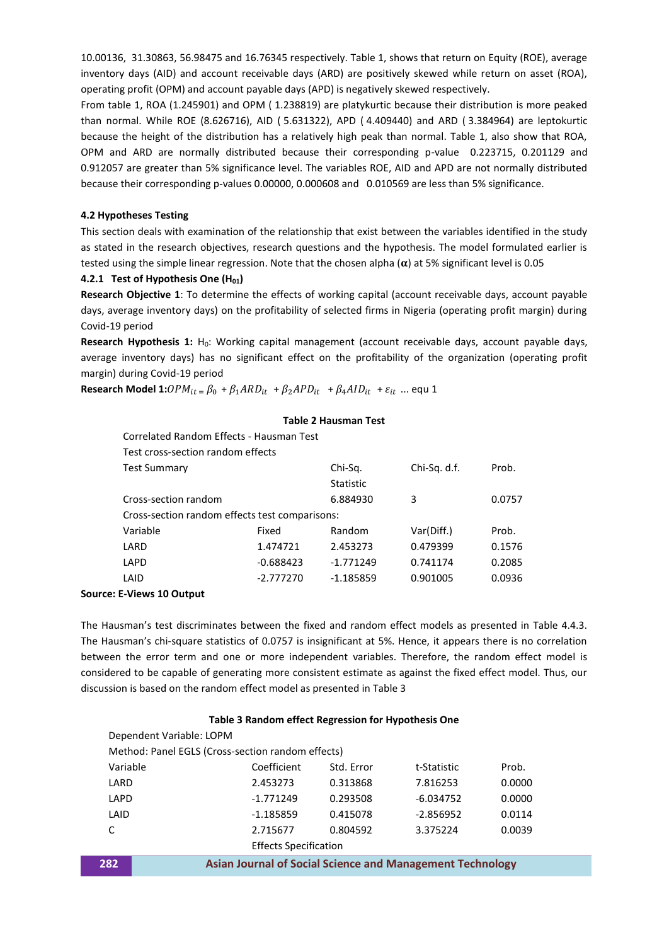10.00136, 31.30863, 56.98475 and 16.76345 respectively. Table 1, shows that return on Equity (ROE), average inventory days (AID) and account receivable days (ARD) are positively skewed while return on asset (ROA), operating profit (OPM) and account payable days (APD) is negatively skewed respectively.

From table 1, ROA (1.245901) and OPM ( 1.238819) are platykurtic because their distribution is more peaked than normal. While ROE (8.626716), AID ( 5.631322), APD ( 4.409440) and ARD ( 3.384964) are leptokurtic because the height of the distribution has a relatively high peak than normal. Table 1, also show that ROA, OPM and ARD are normally distributed because their corresponding p-value 0.223715, 0.201129 and 0.912057 are greater than 5% significance level. The variables ROE, AID and APD are not normally distributed because their corresponding p-values 0.00000, 0.000608 and 0.010569 are less than 5% significance.

## **4.2 Hypotheses Testing**

This section deals with examination of the relationship that exist between the variables identified in the study as stated in the research objectives, research questions and the hypothesis. The model formulated earlier is tested using the simple linear regression. Note that the chosen alpha  $(\alpha)$  at 5% significant level is 0.05

## **4.2.1 Test of Hypothesis One (H01)**

**Research Objective 1**: To determine the effects of working capital (account receivable days, account payable days, average inventory days) on the profitability of selected firms in Nigeria (operating profit margin) during Covid-19 period

Research Hypothesis 1: H<sub>0</sub>: Working capital management (account receivable days, account payable days, average inventory days) has no significant effect on the profitability of the organization (operating profit margin) during Covid-19 period

**Research Model 1:**  $OPM_{it} = \beta_0 + \beta_1 ARD_{it} + \beta_2 APD_{it} + \beta_4 AID_{it} + \varepsilon_{it}$  ... equ 1

#### **Table 2 Hausman Test**

| Correlated Random Effects - Hausman Test       |             |                  |              |        |
|------------------------------------------------|-------------|------------------|--------------|--------|
| Test cross-section random effects              |             |                  |              |        |
| <b>Test Summary</b>                            |             | Chi-Sq.          | Chi-Sq. d.f. | Prob.  |
|                                                |             | <b>Statistic</b> |              |        |
| Cross-section random                           |             | 6.884930         | 3            | 0.0757 |
| Cross-section random effects test comparisons: |             |                  |              |        |
| Variable                                       | Fixed       | Random           | Var(Diff.)   | Prob.  |
| LARD                                           | 1.474721    | 2.453273         | 0.479399     | 0.1576 |
| LAPD                                           | $-0.688423$ | $-1.771249$      | 0.741174     | 0.2085 |
| LAID                                           | $-2.777270$ | $-1.185859$      | 0.901005     | 0.0936 |
|                                                |             |                  |              |        |

## **Source: E-Views 10 Output**

The Hausman's test discriminates between the fixed and random effect models as presented in Table 4.4.3. The Hausman's chi-square statistics of 0.0757 is insignificant at 5%. Hence, it appears there is no correlation between the error term and one or more independent variables. Therefore, the random effect model is considered to be capable of generating more consistent estimate as against the fixed effect model. Thus, our discussion is based on the random effect model as presented in Table 3

#### **Table 3 Random effect Regression for Hypothesis One**

| Dependent Variable: LOPM                                                |             |            |             |        |  |
|-------------------------------------------------------------------------|-------------|------------|-------------|--------|--|
| Method: Panel EGLS (Cross-section random effects)                       |             |            |             |        |  |
| Variable                                                                | Coefficient | Std. Error | t-Statistic | Prob.  |  |
| LARD                                                                    | 2.453273    | 0.313868   | 7.816253    | 0.0000 |  |
| LAPD                                                                    | $-1.771249$ | 0.293508   | $-6.034752$ | 0.0000 |  |
| LAID                                                                    | $-1.185859$ | 0.415078   | $-2.856952$ | 0.0114 |  |
|                                                                         | 2.715677    | 0.804592   | 3.375224    | 0.0039 |  |
| <b>Effects Specification</b>                                            |             |            |             |        |  |
| 282<br><b>Asian Journal of Social Science and Management Technology</b> |             |            |             |        |  |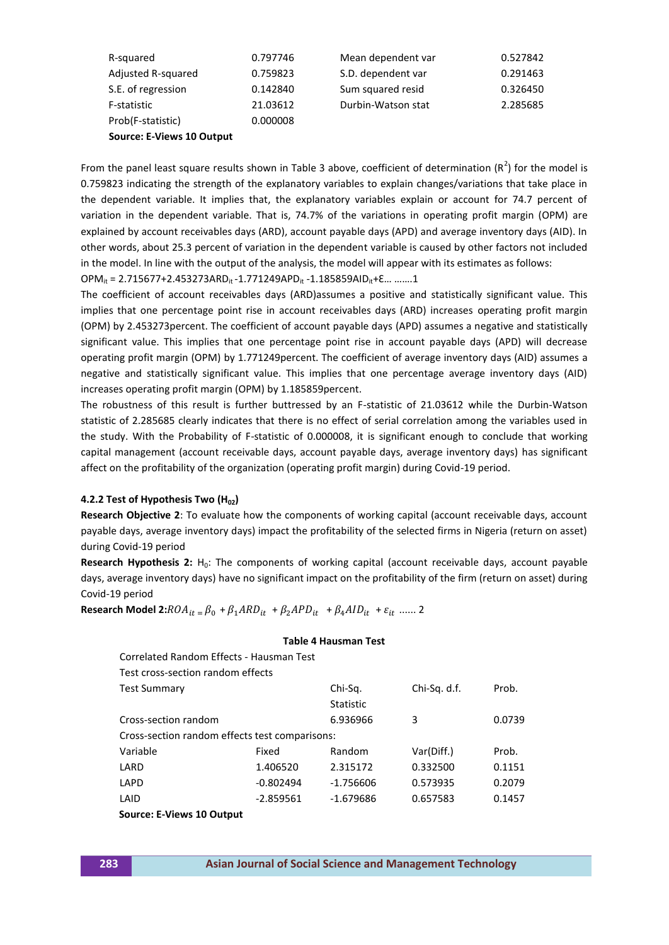| R-squared          | 0.797746 | Mean dependent var | 0.527842 |
|--------------------|----------|--------------------|----------|
| Adjusted R-squared | 0.759823 | S.D. dependent var | 0.291463 |
| S.E. of regression | 0.142840 | Sum squared resid  | 0.326450 |
| F-statistic        | 21.03612 | Durbin-Watson stat | 2.285685 |
| Prob(F-statistic)  | 0.000008 |                    |          |

 **Source: E-Views 10 Output**

From the panel least square results shown in Table 3 above, coefficient of determination  $(R^2)$  for the model is 0.759823 indicating the strength of the explanatory variables to explain changes/variations that take place in the dependent variable. It implies that, the explanatory variables explain or account for 74.7 percent of variation in the dependent variable. That is, 74.7% of the variations in operating profit margin (OPM) are explained by account receivables days (ARD), account payable days (APD) and average inventory days (AID). In other words, about 25.3 percent of variation in the dependent variable is caused by other factors not included in the model. In line with the output of the analysis, the model will appear with its estimates as follows:

 $OPM_{it} = 2.715677 + 2.453273 ARD_{it} - 1.771249 APD_{it} - 1.185859 AID_{it} + \epsilon...$  …....1

The coefficient of account receivables days (ARD)assumes a positive and statistically significant value. This implies that one percentage point rise in account receivables days (ARD) increases operating profit margin (OPM) by 2.453273percent. The coefficient of account payable days (APD) assumes a negative and statistically significant value. This implies that one percentage point rise in account payable days (APD) will decrease operating profit margin (OPM) by 1.771249percent. The coefficient of average inventory days (AID) assumes a negative and statistically significant value. This implies that one percentage average inventory days (AID) increases operating profit margin (OPM) by 1.185859percent.

The robustness of this result is further buttressed by an F-statistic of 21.03612 while the Durbin-Watson statistic of 2.285685 clearly indicates that there is no effect of serial correlation among the variables used in the study. With the Probability of F-statistic of 0.000008, it is significant enough to conclude that working capital management (account receivable days, account payable days, average inventory days) has significant affect on the profitability of the organization (operating profit margin) during Covid-19 period.

## **4.2.2 Test of Hypothesis Two (H02)**

**Research Objective 2**: To evaluate how the components of working capital (account receivable days, account payable days, average inventory days) impact the profitability of the selected firms in Nigeria (return on asset) during Covid-19 period

**Research Hypothesis 2:** H<sub>0</sub>: The components of working capital (account receivable days, account payable days, average inventory days) have no significant impact on the profitability of the firm (return on asset) during Covid-19 period

**Table 4 Hausman Test**

**Research Model 2:**  $ROA_{it} = \beta_0 + \beta_1 ARD_{it} + \beta_2 APD_{it} + \beta_4 AID_{it} + \varepsilon_{it}$  ...... 2

|                                                |             | 18916 <del>-</del> 1189311811 1636 |              |        |
|------------------------------------------------|-------------|------------------------------------|--------------|--------|
| Correlated Random Effects - Hausman Test       |             |                                    |              |        |
| Test cross-section random effects              |             |                                    |              |        |
| Test Summary                                   |             | Chi-Sq.                            | Chi-Sq. d.f. | Prob.  |
|                                                |             | <b>Statistic</b>                   |              |        |
| Cross-section random                           |             | 6.936966                           | 3            | 0.0739 |
| Cross-section random effects test comparisons: |             |                                    |              |        |
| Variable                                       | Fixed       | Random                             | Var(Diff.)   | Prob.  |
| LARD                                           | 1.406520    | 2.315172                           | 0.332500     | 0.1151 |
| LAPD                                           | $-0.802494$ | $-1.756606$                        | 0.573935     | 0.2079 |
| LAID                                           | $-2.859561$ | $-1.679686$                        | 0.657583     | 0.1457 |
| Source: E-Views 10 Output                      |             |                                    |              |        |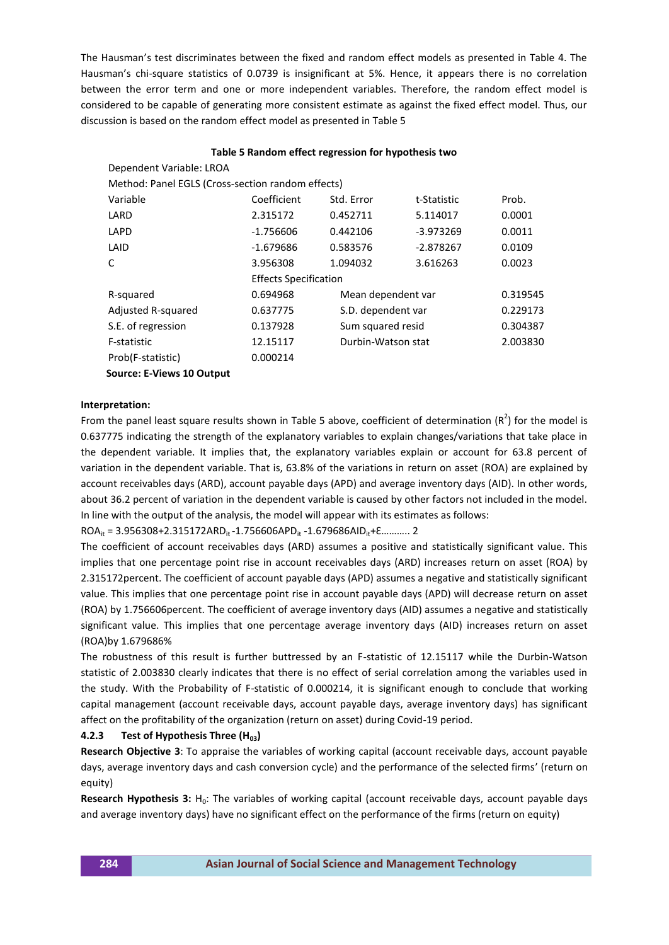The Hausman's test discriminates between the fixed and random effect models as presented in Table 4. The Hausman's chi-square statistics of 0.0739 is insignificant at 5%. Hence, it appears there is no correlation between the error term and one or more independent variables. Therefore, the random effect model is considered to be capable of generating more consistent estimate as against the fixed effect model. Thus, our discussion is based on the random effect model as presented in Table 5

|                                                   | Table 5 Random effect regression for hypothesis two |                    |             |          |
|---------------------------------------------------|-----------------------------------------------------|--------------------|-------------|----------|
| Dependent Variable: LROA                          |                                                     |                    |             |          |
| Method: Panel EGLS (Cross-section random effects) |                                                     |                    |             |          |
| Variable                                          | Coefficient                                         | Std. Error         | t-Statistic | Prob.    |
| LARD                                              | 2.315172                                            | 0.452711           | 5.114017    | 0.0001   |
| LAPD                                              | $-1.756606$                                         | 0.442106           | -3.973269   | 0.0011   |
| LAID                                              | $-1.679686$                                         | 0.583576           | $-2.878267$ | 0.0109   |
| C                                                 | 3.956308                                            | 1.094032           | 3.616263    | 0.0023   |
|                                                   | <b>Effects Specification</b>                        |                    |             |          |
| R-squared                                         | 0.694968                                            | Mean dependent var |             | 0.319545 |
| <b>Adjusted R-squared</b>                         | 0.637775                                            | S.D. dependent var |             | 0.229173 |
| S.E. of regression                                | 0.137928                                            | Sum squared resid  |             | 0.304387 |
| F-statistic                                       | 12.15117                                            | Durbin-Watson stat |             | 2.003830 |
| Prob(F-statistic)                                 | 0.000214                                            |                    |             |          |
| <b>Source: E-Views 10 Output</b>                  |                                                     |                    |             |          |

#### **Interpretation:**

From the panel least square results shown in Table 5 above, coefficient of determination  $(R^2)$  for the model is 0.637775 indicating the strength of the explanatory variables to explain changes/variations that take place in the dependent variable. It implies that, the explanatory variables explain or account for 63.8 percent of variation in the dependent variable. That is, 63.8% of the variations in return on asset (ROA) are explained by account receivables days (ARD), account payable days (APD) and average inventory days (AID). In other words, about 36.2 percent of variation in the dependent variable is caused by other factors not included in the model. In line with the output of the analysis, the model will appear with its estimates as follows:

 $ROA_{it} = 3.956308 + 2.315172ARD_{it} - 1.756606APD_{it} - 1.679686AlD_{it} + \text{E}$ ……….. 2

The coefficient of account receivables days (ARD) assumes a positive and statistically significant value. This implies that one percentage point rise in account receivables days (ARD) increases return on asset (ROA) by 2.315172percent. The coefficient of account payable days (APD) assumes a negative and statistically significant value. This implies that one percentage point rise in account payable days (APD) will decrease return on asset (ROA) by 1.756606percent. The coefficient of average inventory days (AID) assumes a negative and statistically significant value. This implies that one percentage average inventory days (AID) increases return on asset (ROA)by 1.679686%

The robustness of this result is further buttressed by an F-statistic of 12.15117 while the Durbin-Watson statistic of 2.003830 clearly indicates that there is no effect of serial correlation among the variables used in the study. With the Probability of F-statistic of 0.000214, it is significant enough to conclude that working capital management (account receivable days, account payable days, average inventory days) has significant affect on the profitability of the organization (return on asset) during Covid-19 period.

#### **4.2.3 Test of Hypothesis Three (H03)**

**Research Objective 3**: To appraise the variables of working capital (account receivable days, account payable days, average inventory days and cash conversion cycle) and the performance of the selected firms' (return on equity)

**Research Hypothesis 3:** H<sub>0</sub>: The variables of working capital (account receivable days, account payable days and average inventory days) have no significant effect on the performance of the firms (return on equity)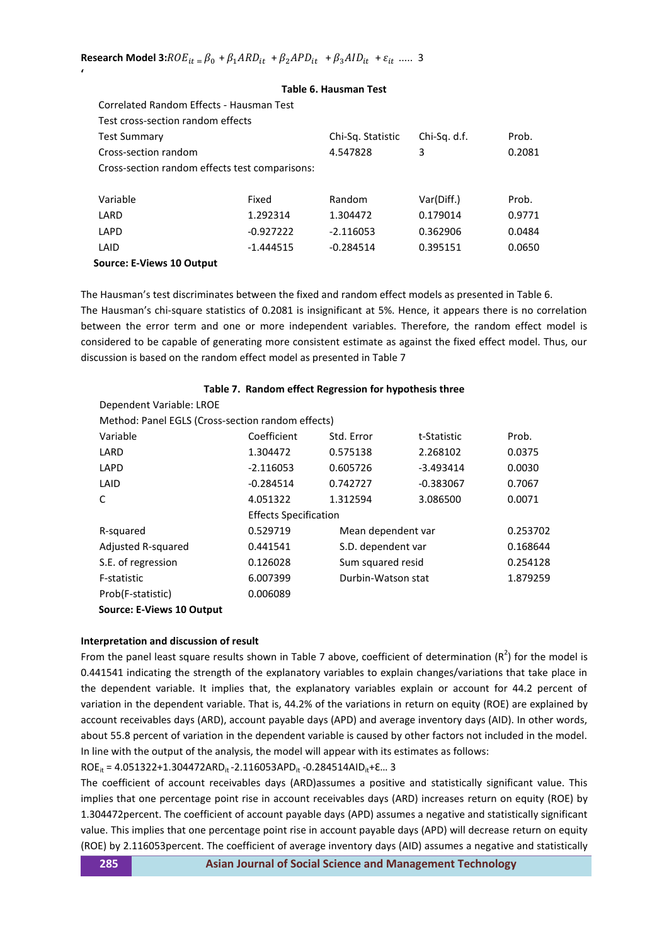**'**

| Correlated Random Effects - Hausman Test       |             |                   |              |        |
|------------------------------------------------|-------------|-------------------|--------------|--------|
| Test cross-section random effects              |             |                   |              |        |
| <b>Test Summary</b>                            |             | Chi-Sq. Statistic | Chi-Sq. d.f. | Prob.  |
| Cross-section random                           |             | 4.547828          | 3            | 0.2081 |
| Cross-section random effects test comparisons: |             |                   |              |        |
|                                                |             |                   |              |        |
| Variable                                       | Fixed       | Random            | Var(Diff.)   | Prob.  |
| LARD                                           | 1.292314    | 1.304472          | 0.179014     | 0.9771 |
| LAPD                                           | $-0.927222$ | $-2.116053$       | 0.362906     | 0.0484 |
| LAID                                           | $-1.444515$ | $-0.284514$       | 0.395151     | 0.0650 |
| Source: E-Views 10 Output                      |             |                   |              |        |

## **Table 6. Hausman Test**

The Hausman's test discriminates between the fixed and random effect models as presented in Table 6. The Hausman's chi-square statistics of 0.2081 is insignificant at 5%. Hence, it appears there is no correlation between the error term and one or more independent variables. Therefore, the random effect model is considered to be capable of generating more consistent estimate as against the fixed effect model. Thus, our discussion is based on the random effect model as presented in Table 7

|                                                   | Table 7. Random effect Regression for hypothesis three |                    |             |          |
|---------------------------------------------------|--------------------------------------------------------|--------------------|-------------|----------|
| Dependent Variable: LROE                          |                                                        |                    |             |          |
| Method: Panel EGLS (Cross-section random effects) |                                                        |                    |             |          |
| Variable                                          | Coefficient                                            | Std. Error         | t-Statistic | Prob.    |
| LARD                                              | 1.304472                                               | 0.575138           | 2.268102    | 0.0375   |
| LAPD                                              | $-2.116053$                                            | 0.605726           | $-3.493414$ | 0.0030   |
| LAID                                              | $-0.284514$                                            | 0.742727           | $-0.383067$ | 0.7067   |
| C                                                 | 4.051322                                               | 1.312594           | 3.086500    | 0.0071   |
|                                                   | <b>Effects Specification</b>                           |                    |             |          |
| R-squared                                         | 0.529719                                               | Mean dependent var |             | 0.253702 |
| Adjusted R-squared                                | 0.441541                                               | S.D. dependent var |             | 0.168644 |
| S.E. of regression                                | 0.126028                                               | Sum squared resid  |             | 0.254128 |
| F-statistic                                       | 6.007399                                               | Durbin-Watson stat |             | 1.879259 |
| Prob(F-statistic)                                 | 0.006089                                               |                    |             |          |
|                                                   |                                                        |                    |             |          |

## **Source: E-Views 10 Output**

## **Interpretation and discussion of result**

From the panel least square results shown in Table 7 above, coefficient of determination  $(R^2)$  for the model is 0.441541 indicating the strength of the explanatory variables to explain changes/variations that take place in the dependent variable. It implies that, the explanatory variables explain or account for 44.2 percent of variation in the dependent variable. That is, 44.2% of the variations in return on equity (ROE) are explained by account receivables days (ARD), account payable days (APD) and average inventory days (AID). In other words, about 55.8 percent of variation in the dependent variable is caused by other factors not included in the model. In line with the output of the analysis, the model will appear with its estimates as follows:

ROE<sub>it</sub> = 4.051322+1.304472ARD<sub>it</sub> -2.116053APD<sub>it</sub> -0.284514AID<sub>it</sub>+ $\varepsilon$ ... 3

The coefficient of account receivables days (ARD)assumes a positive and statistically significant value. This implies that one percentage point rise in account receivables days (ARD) increases return on equity (ROE) by 1.304472percent. The coefficient of account payable days (APD) assumes a negative and statistically significant value. This implies that one percentage point rise in account payable days (APD) will decrease return on equity (ROE) by 2.116053percent. The coefficient of average inventory days (AID) assumes a negative and statistically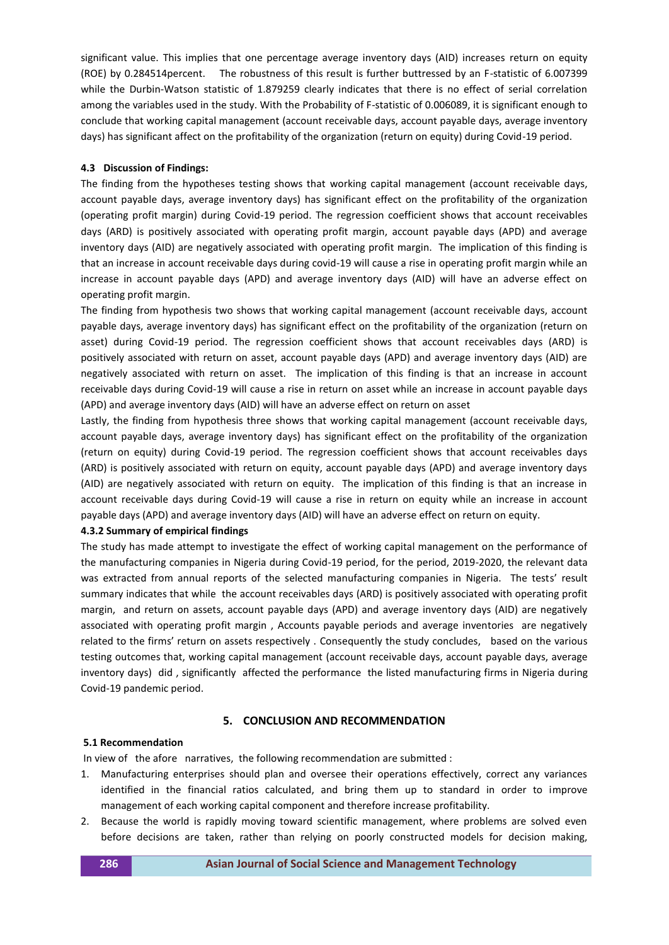significant value. This implies that one percentage average inventory days (AID) increases return on equity (ROE) by 0.284514percent. The robustness of this result is further buttressed by an F-statistic of 6.007399 while the Durbin-Watson statistic of 1.879259 clearly indicates that there is no effect of serial correlation among the variables used in the study. With the Probability of F-statistic of 0.006089, it is significant enough to conclude that working capital management (account receivable days, account payable days, average inventory days) has significant affect on the profitability of the organization (return on equity) during Covid-19 period.

#### **4.3 Discussion of Findings:**

The finding from the hypotheses testing shows that working capital management (account receivable days, account payable days, average inventory days) has significant effect on the profitability of the organization (operating profit margin) during Covid-19 period. The regression coefficient shows that account receivables days (ARD) is positively associated with operating profit margin, account payable days (APD) and average inventory days (AID) are negatively associated with operating profit margin. The implication of this finding is that an increase in account receivable days during covid-19 will cause a rise in operating profit margin while an increase in account payable days (APD) and average inventory days (AID) will have an adverse effect on operating profit margin.

The finding from hypothesis two shows that working capital management (account receivable days, account payable days, average inventory days) has significant effect on the profitability of the organization (return on asset) during Covid-19 period. The regression coefficient shows that account receivables days (ARD) is positively associated with return on asset, account payable days (APD) and average inventory days (AID) are negatively associated with return on asset. The implication of this finding is that an increase in account receivable days during Covid-19 will cause a rise in return on asset while an increase in account payable days (APD) and average inventory days (AID) will have an adverse effect on return on asset

Lastly, the finding from hypothesis three shows that working capital management (account receivable days, account payable days, average inventory days) has significant effect on the profitability of the organization (return on equity) during Covid-19 period. The regression coefficient shows that account receivables days (ARD) is positively associated with return on equity, account payable days (APD) and average inventory days (AID) are negatively associated with return on equity. The implication of this finding is that an increase in account receivable days during Covid-19 will cause a rise in return on equity while an increase in account payable days (APD) and average inventory days (AID) will have an adverse effect on return on equity.

#### **4.3.2 Summary of empirical findings**

The study has made attempt to investigate the effect of working capital management on the performance of the manufacturing companies in Nigeria during Covid-19 period, for the period, 2019-2020, the relevant data was extracted from annual reports of the selected manufacturing companies in Nigeria. The tests' result summary indicates that while the account receivables days (ARD) is positively associated with operating profit margin, and return on assets, account payable days (APD) and average inventory days (AID) are negatively associated with operating profit margin , Accounts payable periods and average inventories are negatively related to the firms' return on assets respectively . Consequently the study concludes, based on the various testing outcomes that, working capital management (account receivable days, account payable days, average inventory days) did , significantly affected the performance the listed manufacturing firms in Nigeria during Covid-19 pandemic period.

#### **5. CONCLUSION AND RECOMMENDATION**

#### **5.1 Recommendation**

In view of the afore narratives, the following recommendation are submitted :

- 1. Manufacturing enterprises should plan and oversee their operations effectively, correct any variances identified in the financial ratios calculated, and bring them up to standard in order to improve management of each working capital component and therefore increase profitability.
- 2. Because the world is rapidly moving toward scientific management, where problems are solved even before decisions are taken, rather than relying on poorly constructed models for decision making,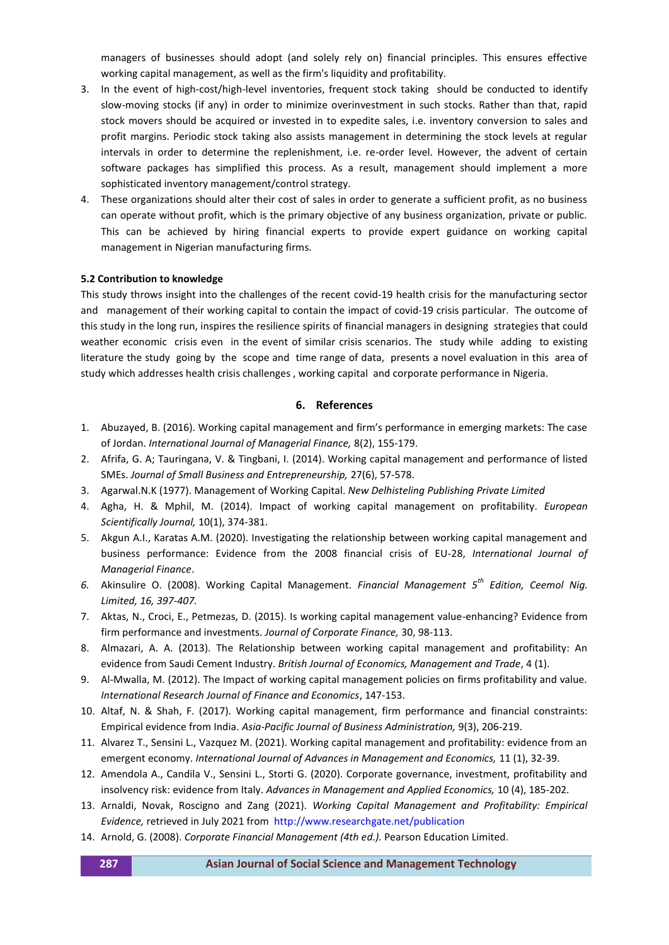managers of businesses should adopt (and solely rely on) financial principles. This ensures effective working capital management, as well as the firm's liquidity and profitability.

- 3. In the event of high-cost/high-level inventories, frequent stock taking should be conducted to identify slow-moving stocks (if any) in order to minimize overinvestment in such stocks. Rather than that, rapid stock movers should be acquired or invested in to expedite sales, i.e. inventory conversion to sales and profit margins. Periodic stock taking also assists management in determining the stock levels at regular intervals in order to determine the replenishment, i.e. re-order level. However, the advent of certain software packages has simplified this process. As a result, management should implement a more sophisticated inventory management/control strategy.
- 4. These organizations should alter their cost of sales in order to generate a sufficient profit, as no business can operate without profit, which is the primary objective of any business organization, private or public. This can be achieved by hiring financial experts to provide expert guidance on working capital management in Nigerian manufacturing firms.

### **5.2 Contribution to knowledge**

This study throws insight into the challenges of the recent covid-19 health crisis for the manufacturing sector and management of their working capital to contain the impact of covid-19 crisis particular. The outcome of this study in the long run, inspires the resilience spirits of financial managers in designing strategies that could weather economic crisis even in the event of similar crisis scenarios. The study while adding to existing literature the study going by the scope and time range of data, presents a novel evaluation in this area of study which addresses health crisis challenges , working capital and corporate performance in Nigeria.

#### **6. References**

- 1. Abuzayed, B. (2016). Working capital management and firm's performance in emerging markets: The case of Jordan. *International Journal of Managerial Finance,* 8(2), 155-179.
- 2. Afrifa, G. A; Tauringana, V. & Tingbani, I. (2014). Working capital management and performance of listed SMEs. *Journal of Small Business and Entrepreneurship,* 27(6), 57-578.
- 3. Agarwal.N.K (1977). Management of Working Capital. *New Delhisteling Publishing Private Limited*
- 4. Agha, H. & Mphil, M. (2014). Impact of working capital management on profitability. *European Scientifically Journal,* 10(1), 374-381.
- 5. Akgun A.I., Karatas A.M. (2020). Investigating the relationship between working capital management and business performance: Evidence from the 2008 financial crisis of EU-28, *International Journal of Managerial Finance*.
- *6.* Akinsulire O. (2008). Working Capital Management. *Financial Management 5th Edition, Ceemol Nig. Limited, 16, 397-407.*
- 7. Aktas, N., Croci, E., Petmezas, D. (2015). Is working capital management value-enhancing? Evidence from firm performance and investments. *Journal of Corporate Finance,* 30, 98-113.
- 8. Almazari, A. A. (2013). The Relationship between working capital management and profitability: An evidence from Saudi Cement Industry. *British Journal of Economics, Management and Trade*, 4 (1).
- 9. Al-Mwalla, M. (2012). The Impact of working capital management policies on firms profitability and value. *International Research Journal of Finance and Economics*, 147-153.
- 10. Altaf, N. & Shah, F. (2017). Working capital management, firm performance and financial constraints: Empirical evidence from India. *Asia-Pacific Journal of Business Administration,* 9(3), 206-219.
- 11. Alvarez T., Sensini L., Vazquez M. (2021). Working capital management and profitability: evidence from an emergent economy. *International Journal of Advances in Management and Economics,* 11 (1), 32-39.
- 12. Amendola A., Candila V., Sensini L., Storti G. (2020). Corporate governance, investment, profitability and insolvency risk: evidence from Italy. *Advances in Management and Applied Economics,* 10 (4), 185-202.
- 13. Arnaldi, Novak, Roscigno and Zang (2021). *Working Capital Management and Profitability: Empirical Evidence,* retrieved in July 2021 from http://www.researchgate.net/publication
- 14. Arnold, G. (2008). *Corporate Financial Management (4th ed.).* Pearson Education Limited.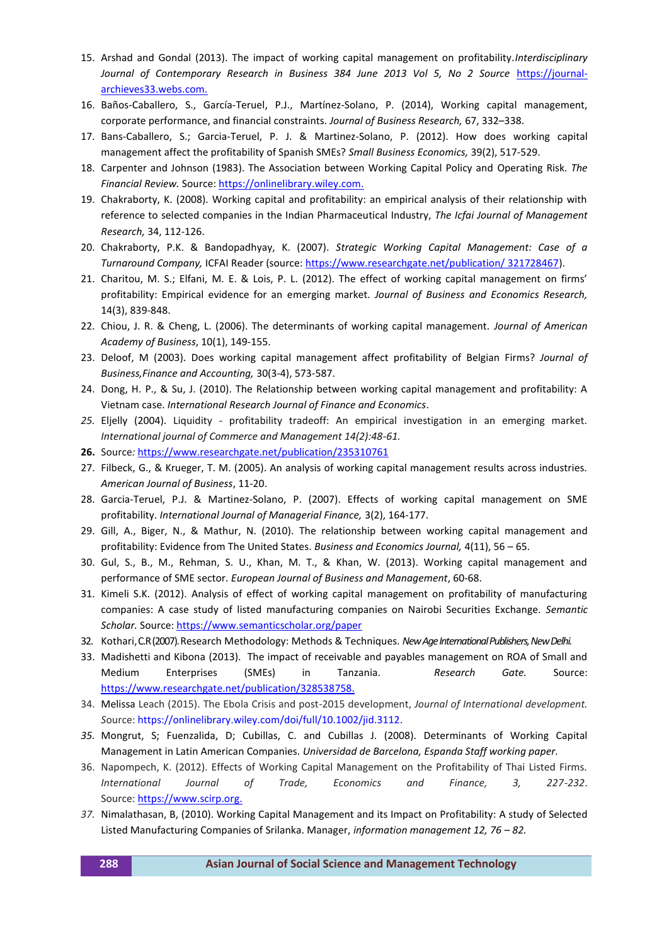- 15. Arshad and Gondal (2013). The impact of working capital management on profitability.*Interdisciplinary*  Journal of Contemporary Research in Business 384 June 2013 Vol 5, No 2 Source [https://journal](https://journal-archieves33.webs.com/)[archieves33.webs.com.](https://journal-archieves33.webs.com/)
- 16. Baños-Caballero, S., García-Teruel, P.J., Martínez-Solano, P. (2014), Working capital management, corporate performance, and financial constraints. *Journal of Business Research,* 67, 332–338.
- 17. Bans-Caballero, S.; Garcia-Teruel, P. J. & Martinez-Solano, P. (2012). How does working capital management affect the profitability of Spanish SMEs? *Small Business Economics,* 39(2), 517-529.
- 18. Carpenter and Johnson (1983). The Association between Working Capital Policy and Operating Risk. *The Financial Review.* Source: [https://onlinelibrary.wiley.com.](https://onlinelibrary.wiley.com/)
- 19. Chakraborty, K. (2008). Working capital and profitability: an empirical analysis of their relationship with reference to selected companies in the Indian Pharmaceutical Industry, *The Icfai Journal of Management Research,* 34, 112-126.
- 20. Chakraborty, P.K. & Bandopadhyay, K. (2007). *Strategic Working Capital Management: Case of a Turnaround Company,* ICFAI Reader (source: [https://www.researchgate.net/publication/ 321728467\)](https://www.researchgate.net/publication/%20321728467).
- 21. Charitou, M. S.; Elfani, M. E. & Lois, P. L. (2012). The effect of working capital management on firms' profitability: Empirical evidence for an emerging market. *Journal of Business and Economics Research,* 14(3), 839-848.
- 22. Chiou, J. R. & Cheng, L. (2006). The determinants of working capital management. *Journal of American Academy of Business*, 10(1), 149-155.
- 23. Deloof, M (2003). Does working capital management affect profitability of Belgian Firms? *Journal of Business,Finance and Accounting,* 30(3-4), 573-587.
- 24. Dong, H. P., & Su, J. (2010). The Relationship between working capital management and profitability: A Vietnam case. *International Research Journal of Finance and Economics*.
- *25.* Eljelly (2004). Liquidity profitability tradeoff: An empirical investigation in an emerging market. *International journal of Commerce and Management 14(2):48-61.*
- **26.** Source*:* <https://www.researchgate.net/publication/235310761>
- 27. Filbeck, G., & Krueger, T. M. (2005). An analysis of working capital management results across industries. *American Journal of Business*, 11-20.
- 28. Garcia-Teruel, P.J. & Martinez-Solano, P. (2007). Effects of working capital management on SME profitability. *International Journal of Managerial Finance,* 3(2), 164-177.
- 29. Gill, A., Biger, N., & Mathur, N. (2010). The relationship between working capital management and profitability: Evidence from The United States. *Business and Economics Journal,* 4(11), 56 – 65.
- 30. Gul, S., B., M., Rehman, S. U., Khan, M. T., & Khan, W. (2013). Working capital management and performance of SME sector. *European Journal of Business and Management*, 60-68.
- 31. Kimeli S.K. (2012). Analysis of effect of working capital management on profitability of manufacturing companies: A case study of listed manufacturing companies on Nairobi Securities Exchange. *Semantic Scholar.* Source[: https://www.semanticscholar.org/paper](https://www.semanticscholar.org/paper)
- 32. Kothari, C.R (2007). Research Methodology: Methods & Techniques. *New Age International Publishers, New Delhi.*
- 33. Madishetti and Kibona (2013). The impact of receivable and payables management on ROA of Small and Medium Enterprises (SMEs) in Tanzania. *Research Gate.* Source: [https://www.researchgate.net/publication/328538758.](https://www.researchgate.net/publication/328538758)
- 34. Melissa Leach (2015). The Ebola Crisis and post-2015 development, *Journal of International development. S*ource[: https://onlinelibrary.wiley.com/doi/full/10.1002/jid.3112.](https://onlinelibrary.wiley.com/doi/full/10.1002/jid.3112)
- *35.* Mongrut, S; Fuenzalida, D; Cubillas, C. and Cubillas J. (2008). Determinants of Working Capital Management in Latin American Companies. *Universidad de Barcelona, Espanda Staff working paper.*
- 36. Napompech, K. (2012). Effects of Working Capital Management on the Profitability of Thai Listed Firms. *International Journal of Trade, Economics and Finance, 3, 227-232*. Source[: https://www.scirp.org.](https://www.scirp.org/)
- *37.* Nimalathasan, B, (2010). Working Capital Management and its Impact on Profitability: A study of Selected Listed Manufacturing Companies of Srilanka. Manager, *information management 12, 76 – 82.*